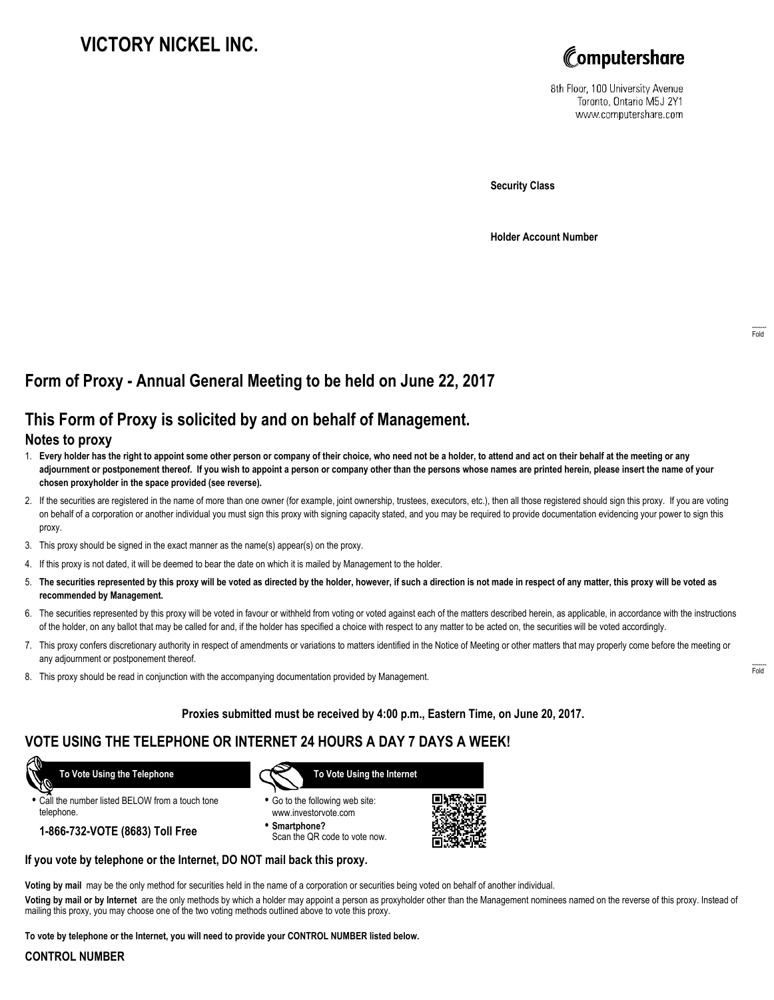# **VICTORY NICKEL INC.**



8th Floor, 100 University Avenue Toronto, Ontario M5J 2Y1 www.computershare.com

**Security Class**

**Holder Account Number**

# **Form of Proxy - Annual General Meeting to be held on June 22, 2017**

## **This Form of Proxy is solicited by and on behalf of Management.**

#### **Notes to proxy**

- 1. **Every holder has the right to appoint some other person or company of their choice, who need not be a holder, to attend and act on their behalf at the meeting or any adjournment or postponement thereof. If you wish to appoint a person or company other than the persons whose names are printed herein, please insert the name of your chosen proxyholder in the space provided (see reverse).**
- 2. If the securities are registered in the name of more than one owner (for example, joint ownership, trustees, executors, etc.), then all those registered should sign this proxy. If you are voting on behalf of a corporation or another individual you must sign this proxy with signing capacity stated, and you may be required to provide documentation evidencing your power to sign this proxy.
- 3. This proxy should be signed in the exact manner as the name(s) appear(s) on the proxy.
- 4. If this proxy is not dated, it will be deemed to bear the date on which it is mailed by Management to the holder.
- 5. **The securities represented by this proxy will be voted as directed by the holder, however, if such a direction is not made in respect of any matter, this proxy will be voted as recommended by Management.**
- 6. The securities represented by this proxy will be voted in favour or withheld from voting or voted against each of the matters described herein, as applicable, in accordance with the instructions of the holder, on any ballot that may be called for and, if the holder has specified a choice with respect to any matter to be acted on, the securities will be voted accordingly.
- 7. This proxy confers discretionary authority in respect of amendments or variations to matters identified in the Notice of Meeting or other matters that may properly come before the meeting or any adjournment or postponement thereof.
- 8. This proxy should be read in conjunction with the accompanying documentation provided by Management.

**Proxies submitted must be received by 4:00 p.m., Eastern Time, on June 20, 2017.**

## **VOTE USING THE TELEPHONE OR INTERNET 24 HOURS A DAY 7 DAYS A WEEK!**

 **To Vote Using the Telephone**

**•** Call the number listed BELOW from a touch tone telephone.

**1-866-732-VOTE (8683) Toll Free**



- **•** Go to the following web site: www.investorvote.com
- **• Smartphone?** Scan the QR code to vote now.



#### **If you vote by telephone or the Internet, DO NOT mail back this proxy.**

**Voting by mail** may be the only method for securities held in the name of a corporation or securities being voted on behalf of another individual.

**Voting by mail or by Internet** are the only methods by which a holder may appoint a person as proxyholder other than the Management nominees named on the reverse of this proxy. Instead of mailing this proxy, you may choose one of the two voting methods outlined above to vote this proxy.

**To vote by telephone or the Internet, you will need to provide your CONTROL NUMBER listed below.**

#### **CONTROL NUMBER**